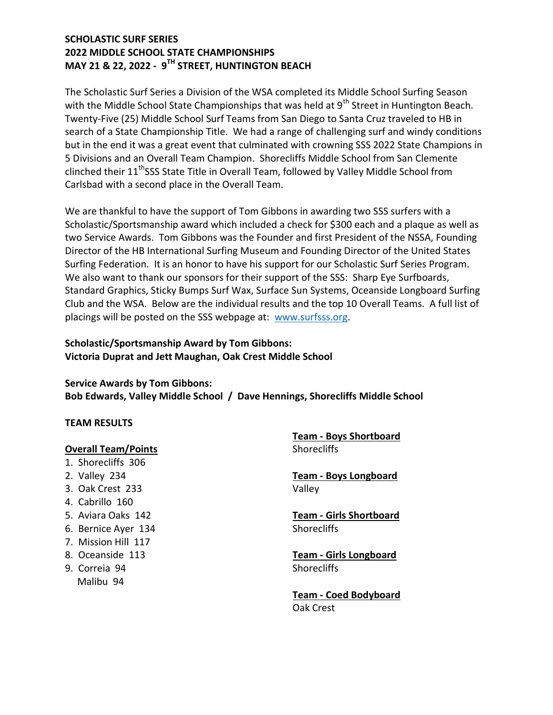# SCHOLASTIC SURF SERIES 2022 MIDDLE SCHOOL STATE CHAMPIONSHIPS MAY 21 & 22, 2022 - 9TH STREET, HUNTINGTON BEACH

The Scholastic Surf Series a Division of the WSA completed its Middle School Surfing Season with the Middle School State Championships that was held at  $9<sup>th</sup>$  Street in Huntington Beach. Twenty-Five (25) Middle School Surf Teams from San Diego to Santa Cruz traveled to HB in search of a State Championship Title. We had a range of challenging surf and windy conditions but in the end it was a great event that culminated with crowning SSS 2022 State Champions in 5 Divisions and an Overall Team Champion. Shorecliffs Middle School from San Clemente clinched their 11<sup>th</sup>SSS State Title in Overall Team, followed by Valley Middle School from Carlsbad with a second place in the Overall Team.

We are thankful to have the support of Tom Gibbons in awarding two SSS surfers with a Scholastic/Sportsmanship award which included a check for \$300 each and a plaque as well as two Service Awards. Tom Gibbons was the Founder and first President of the NSSA, Founding Director of the HB International Surfing Museum and Founding Director of the United States Surfing Federation. It is an honor to have his support for our Scholastic Surf Series Program. We also want to thank our sponsors for their support of the SSS: Sharp Eye Surfboards, Standard Graphics, Sticky Bumps Surf Wax, Surface Sun Systems, Oceanside Longboard Surfing Club and the WSA. Below are the individual results and the top 10 Overall Teams. A full list of placings will be posted on the SSS webpage at: www.surfsss.org.

# Scholastic/Sportsmanship Award by Tom Gibbons: Victoria Duprat and Jett Maughan, Oak Crest Middle School

Service Awards by Tom Gibbons: Bob Edwards, Valley Middle School / Dave Hennings, Shorecliffs Middle School

#### TEAM RESULTS

#### Overall Team/Points

- 1. Shorecliffs 306
- 2. Valley 234
- 3. Oak Crest 233
- 4. Cabrillo 160
- 5. Aviara Oaks 142
- 6. Bernice Ayer 134
- 7. Mission Hill 117
- 8. Oceanside 113
- 9. Correia 94 Malibu 94

Team - Boys Shortboard **Shorecliffs** 

Team - Boys Longboard Valley

Team - Girls Shortboard **Shorecliffs** 

Team - Girls Longboard **Shorecliffs** 

Team - Coed Bodyboard Oak Crest